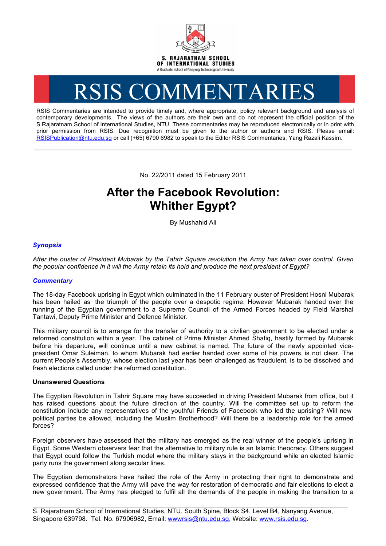

# RSIS COMMENTARIES

RSIS Commentaries are intended to provide timely and, where appropriate, policy relevant background and analysis of contemporary developments. The views of the authors are their own and do not represent the official position of the S.Rajaratnam School of International Studies, NTU. These commentaries may be reproduced electronically or in print with prior permission from RSIS. Due recognition must be given to the author or authors and RSIS. Please email: RSISPublication@ntu.edu.sg or call (+65) 6790 6982 to speak to the Editor RSIS Commentaries, Yang Razali Kassim.

No. 22/2011 dated 15 February 2011

**\_\_\_\_\_\_\_\_\_\_\_\_\_\_\_\_\_\_\_\_\_\_\_\_\_\_\_\_\_\_\_\_\_\_\_\_\_\_\_\_\_\_\_\_\_\_\_\_\_\_\_\_\_\_\_\_\_\_\_\_\_\_\_\_\_\_\_\_\_\_\_\_\_\_\_\_\_\_\_\_\_\_\_\_\_\_\_\_\_\_\_\_\_\_\_\_\_\_**

# **After the Facebook Revolution: Whither Egypt?**

By Mushahid Ali

## *Synopsis*

*After the ouster of President Mubarak by the Tahrir Square revolution the Army has taken over control. Given the popular confidence in it will the Army retain its hold and produce the next president of Egypt?*

### *Commentary*

The 18-day Facebook uprising in Egypt which culminated in the 11 February ouster of President Hosni Mubarak has been hailed as the triumph of the people over a despotic regime. However Mubarak handed over the running of the Egyptian government to a Supreme Council of the Armed Forces headed by Field Marshal Tantawi, Deputy Prime Minister and Defence Minister.

This military council is to arrange for the transfer of authority to a civilian government to be elected under a reformed constitution within a year. The cabinet of Prime Minister Ahmed Shafiq, hastily formed by Mubarak before his departure, will continue until a new cabinet is named. The future of the newly appointed vicepresident Omar Suleiman, to whom Mubarak had earlier handed over some of his powers, is not clear. The current People's Assembly, whose election last year has been challenged as fraudulent, is to be dissolved and fresh elections called under the reformed constitution.

#### **Unanswered Questions**

The Egyptian Revolution in Tahrir Square may have succeeded in driving President Mubarak from office, but it has raised questions about the future direction of the country. Will the committee set up to reform the constitution include any representatives of the youthful Friends of Facebook who led the uprising? Will new political parties be allowed, including the Muslim Brotherhood? Will there be a leadership role for the armed forces?

Foreign observers have assessed that the military has emerged as the real winner of the people's uprising in Egypt. Some Western observers fear that the alternative to military rule is an Islamic theocracy. Others suggest that Egypt could follow the Turkish model where the military stays in the background while an elected Islamic party runs the government along secular lines.

The Egyptian demonstrators have hailed the role of the Army in protecting their right to demonstrate and expressed confidence that the Army will pave the way for restoration of democratic and fair elections to elect a new government. The Army has pledged to fulfil all the demands of the people in making the transition to a